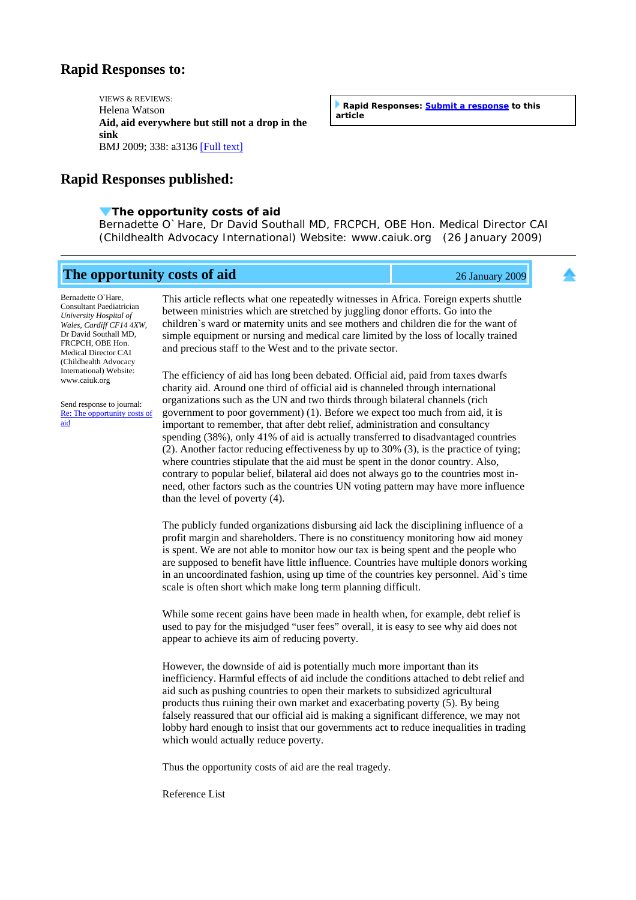## **Rapid Responses to:**

VIEWS & REVIEWS: Helena Watson **Aid, aid everywhere but still not a drop in the sink** BMJ 2009; 338: a3136 [\[Full text\]](http://www.bmj.com/cgi/content/full/338/jan16_1/a3136)

**Rapid Responses published:**

## **[T](http://www.bmj.com/cgi/eletters/338/jan16_1/a3136)he opportunity costs of aid**

Bernadette O`Hare, Dr David Southall MD, FRCPCH, OBE Hon. Medical Director CAI (Childhealth Advocacy International) Website: www.caiuk.org (26 January 2009)

**The opportunity costs of aid** 26 January 2009

Bernadette O`Hare, Consultant Paediatrician *University Hospital of Wales, Cardiff CF14 4XW*, Dr David Southall MD, FRCPCH, OBE Hon. Medical Director CAI (Childhealth Advocacy International) Website: www.caiuk.org

Send response to journal: [Re: The opportunity costs of](http://www.bmj.com/cgi/eletter-submit/338/jan16_1/a3136?title=Re%3A+The+opportunity+costs+of+aid)  [aid](http://www.bmj.com/cgi/eletter-submit/338/jan16_1/a3136?title=Re%3A+The+opportunity+costs+of+aid)

This article reflects what one repeatedly witnesses in Africa. Foreign experts shuttle between ministries which are stretched by juggling donor efforts. Go into the children`s ward or maternity units and see mothers and children die for the want of simple equipment or nursing and medical care limited by the loss of locally trained and precious staff to the West and to the private sector.

The efficiency of aid has long been debated. Official aid, paid from taxes dwarfs charity aid. Around one third of official aid is channeled through international organizations such as the UN and two thirds through bilateral channels (rich government to poor government) (1). Before we expect too much from aid, it is important to remember, that after debt relief, administration and consultancy spending (38%), only 41% of aid is actually transferred to disadvantaged countries (2). Another factor reducing effectiveness by up to 30% (3), is the practice of tying; where countries stipulate that the aid must be spent in the donor country. Also, contrary to popular belief, bilateral aid does not always go to the countries most inneed, other factors such as the countries UN voting pattern may have more influence than the level of poverty (4).

The publicly funded organizations disbursing aid lack the disciplining influence of a profit margin and shareholders. There is no constituency monitoring how aid money is spent. We are not able to monitor how our tax is being spent and the people who are supposed to benefit have little influence. Countries have multiple donors working in an uncoordinated fashion, using up time of the countries key personnel. Aid`s time scale is often short which make long term planning difficult.

While some recent gains have been made in health when, for example, debt relief is used to pay for the misjudged "user fees" overall, it is easy to see why aid does not appear to achieve its aim of reducing poverty.

However, the downside of aid is potentially much more important than its inefficiency. Harmful effects of aid include the conditions attached to debt relief and aid such as pushing countries to open their markets to subsidized agricultural products thus ruining their own market and exacerbating poverty (5). By being falsely reassured that our official aid is making a significant difference, we may not lobby hard enough to insist that our governments act to reduce inequalities in trading which would actually reduce poverty.

Thus the opportunity costs of aid are the real tragedy.

Reference List

**Rapid Responses: [Submit a response](http://www.bmj.com/cgi/eletter-submit/338/jan16_1/a3136) to this article**